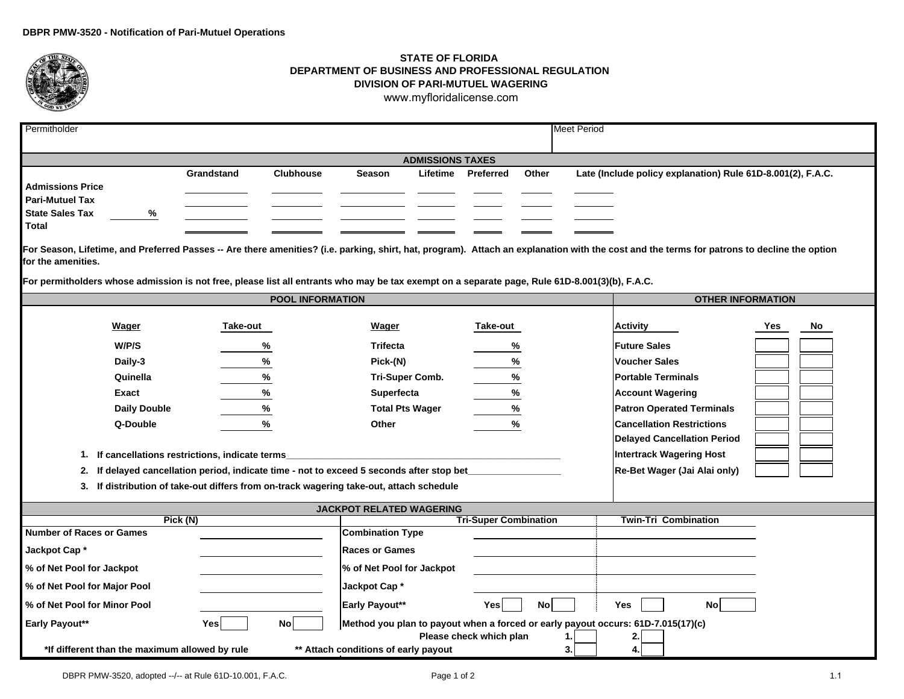

## **STATE OF FLORIDA DEPARTMENT OF BUSINESS AND PROFESSIONAL REGULATIONDIVISION OF PARI-MUTUEL WAGERING**<www.myfloridalicense.com>

| Permitholder                                                                                                                                                                                                                                                        |                               |                                                                                      |                           |                              |               | <b>Meet Period</b>  |                                  |           |  |  |  |  |
|---------------------------------------------------------------------------------------------------------------------------------------------------------------------------------------------------------------------------------------------------------------------|-------------------------------|--------------------------------------------------------------------------------------|---------------------------|------------------------------|---------------|---------------------|----------------------------------|-----------|--|--|--|--|
|                                                                                                                                                                                                                                                                     |                               |                                                                                      |                           |                              |               |                     |                                  |           |  |  |  |  |
| <b>ADMISSIONS TAXES</b><br>Late (Include policy explanation) Rule 61D-8.001(2), F.A.C.                                                                                                                                                                              |                               |                                                                                      |                           |                              |               |                     |                                  |           |  |  |  |  |
| <b>Admissions Price</b><br><b>Pari-Mutuel Tax</b><br><b>State Sales Tax</b><br>Total                                                                                                                                                                                | %                             | <b>Clubhouse</b><br>Grandstand                                                       | <b>Season</b>             | Lifetime<br><b>Preferred</b> | Other         |                     |                                  |           |  |  |  |  |
| For Season, Lifetime, and Preferred Passes -- Are there amenities? (i.e. parking, shirt, hat, program). Attach an explanation with the cost and the terms for patrons to decline the option<br>for the amenities.                                                   |                               |                                                                                      |                           |                              |               |                     |                                  |           |  |  |  |  |
| For permitholders whose admission is not free, please list all entrants who may be tax exempt on a separate page, Rule 61D-8.001(3)(b), F.A.C.                                                                                                                      |                               |                                                                                      |                           |                              |               |                     |                                  |           |  |  |  |  |
|                                                                                                                                                                                                                                                                     |                               |                                                                                      | <b>POOL INFORMATION</b>   |                              |               |                     | <b>OTHER INFORMATION</b>         |           |  |  |  |  |
|                                                                                                                                                                                                                                                                     | Wager                         | Take-out                                                                             | Wager                     | Take-out                     |               |                     | <b>Activity</b>                  | Yes<br>No |  |  |  |  |
|                                                                                                                                                                                                                                                                     | W/P/S<br><b>Trifecta</b><br>% |                                                                                      |                           | %                            |               | <b>Future Sales</b> |                                  |           |  |  |  |  |
| Daily-3                                                                                                                                                                                                                                                             |                               | %                                                                                    | Pick-(N)                  |                              | %             |                     | <b>Voucher Sales</b>             |           |  |  |  |  |
| Quinella                                                                                                                                                                                                                                                            |                               | %                                                                                    | Tri-Super Comb.           |                              | %             |                     | <b>Portable Terminals</b>        |           |  |  |  |  |
| Exact                                                                                                                                                                                                                                                               |                               | %                                                                                    | Superfecta                |                              | %             |                     | <b>Account Wagering</b>          |           |  |  |  |  |
| <b>Daily Double</b>                                                                                                                                                                                                                                                 |                               | %                                                                                    | <b>Total Pts Wager</b>    |                              | %             |                     | <b>Patron Operated Terminals</b> |           |  |  |  |  |
| Q-Double                                                                                                                                                                                                                                                            |                               | %                                                                                    | Other                     |                              | $\frac{9}{6}$ |                     | <b>Cancellation Restrictions</b> |           |  |  |  |  |
| <b>Delayed Cancellation Period</b><br><b>Intertrack Wagering Host</b><br>If cancellations restrictions, indicate terms<br>1.<br>If delayed cancellation period, indicate time - not to exceed 5 seconds after stop bet_<br>Re-Bet Wager (Jai Alai only)<br>2.       |                               |                                                                                      |                           |                              |               |                     |                                  |           |  |  |  |  |
| 3.                                                                                                                                                                                                                                                                  |                               | If distribution of take-out differs from on-track wagering take-out, attach schedule |                           |                              |               |                     |                                  |           |  |  |  |  |
|                                                                                                                                                                                                                                                                     |                               |                                                                                      | JACKPOT RELATED WAGERING  |                              |               |                     |                                  |           |  |  |  |  |
|                                                                                                                                                                                                                                                                     | Pick (N)                      |                                                                                      |                           | <b>Tri-Super Combination</b> |               |                     | <b>Twin-Tri Combination</b>      |           |  |  |  |  |
| <b>Number of Races or Games</b>                                                                                                                                                                                                                                     |                               |                                                                                      | <b>Combination Type</b>   |                              |               |                     |                                  |           |  |  |  |  |
| Jackpot Cap*                                                                                                                                                                                                                                                        |                               |                                                                                      | <b>Races or Games</b>     |                              |               |                     |                                  |           |  |  |  |  |
| % of Net Pool for Jackpot                                                                                                                                                                                                                                           |                               |                                                                                      | % of Net Pool for Jackpot |                              |               |                     |                                  |           |  |  |  |  |
| % of Net Pool for Major Pool                                                                                                                                                                                                                                        |                               |                                                                                      | Jackpot Cap*              |                              |               |                     |                                  |           |  |  |  |  |
| % of Net Pool for Minor Pool                                                                                                                                                                                                                                        |                               |                                                                                      | Early Payout**            | Yes                          | <b>No</b>     |                     | <b>Yes</b><br><b>No</b>          |           |  |  |  |  |
| Method you plan to payout when a forced or early payout occurs: 61D-7.015(17)(c)<br>Early Payout**<br><b>Yes</b><br>Nol<br>Please check which plan<br>2<br>.1<br>** Attach conditions of early payout<br>3.<br>*If different than the maximum allowed by rule<br>4. |                               |                                                                                      |                           |                              |               |                     |                                  |           |  |  |  |  |